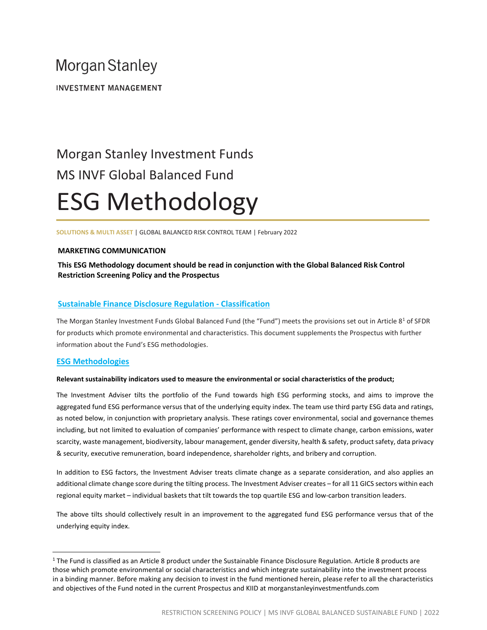# **Morgan Stanley**

**INVESTMENT MANAGEMENT** 

# Morgan Stanley Investment Funds MS INVF Global Balanced Fund ESG Methodology

SOLUTIONS & MULTI ASSET | GLOBAL BALANCED RISK CONTROL TEAM | February 2022

# MARKETING COMMUNICATION

# This ESG Methodology document should be read in conjunction with the Global Balanced Risk Control Restriction Screening Policy and the Prospectus

# Sustainable Finance Disclosure Regulation - Classification

The Morgan Stanley Investment Funds Global Balanced Fund (the "Fund") meets the provisions set out in Article 8<sup>1</sup> of SFDR for products which promote environmental and characteristics. This document supplements the Prospectus with further information about the Fund's ESG methodologies.

# ESG Methodologies

#### Relevant sustainability indicators used to measure the environmental or social characteristics of the product;

The Investment Adviser tilts the portfolio of the Fund towards high ESG performing stocks, and aims to improve the aggregated fund ESG performance versus that of the underlying equity index. The team use third party ESG data and ratings, as noted below, in conjunction with proprietary analysis. These ratings cover environmental, social and governance themes including, but not limited to evaluation of companies' performance with respect to climate change, carbon emissions, water scarcity, waste management, biodiversity, labour management, gender diversity, health & safety, product safety, data privacy & security, executive remuneration, board independence, shareholder rights, and bribery and corruption.

In addition to ESG factors, the Investment Adviser treats climate change as a separate consideration, and also applies an additional climate change score during the tilting process. The Investment Adviser creates – for all 11 GICS sectors within each regional equity market – individual baskets that tilt towards the top quartile ESG and low-carbon transition leaders.

The above tilts should collectively result in an improvement to the aggregated fund ESG performance versus that of the underlying equity index.

<sup>&</sup>lt;sup>1</sup> The Fund is classified as an Article 8 product under the Sustainable Finance Disclosure Regulation. Article 8 products are those which promote environmental or social characteristics and which integrate sustainability into the investment process in a binding manner. Before making any decision to invest in the fund mentioned herein, please refer to all the characteristics and objectives of the Fund noted in the current Prospectus and KIID at morganstanleyinvestmentfunds.com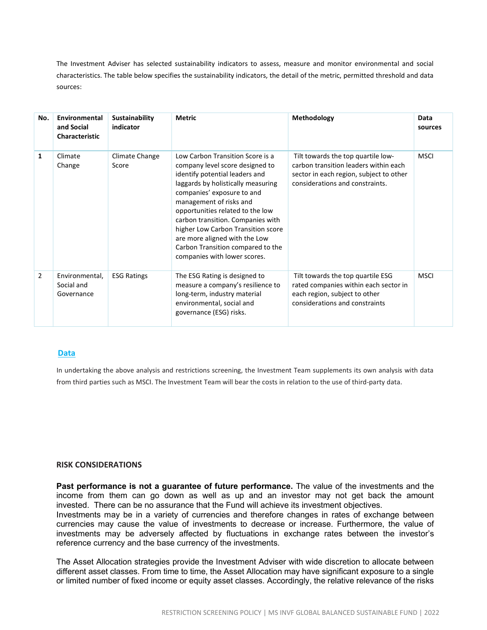The Investment Adviser has selected sustainability indicators to assess, measure and monitor environmental and social characteristics. The table below specifies the sustainability indicators, the detail of the metric, permitted threshold and data sources:

| No.            | Environmental<br>and Social<br><b>Characteristic</b> | <b>Sustainability</b><br>indicator | <b>Metric</b>                                                                                                                                                                                                                                                                                                                                                                                                             | Methodology                                                                                                                                               | Data<br>sources |
|----------------|------------------------------------------------------|------------------------------------|---------------------------------------------------------------------------------------------------------------------------------------------------------------------------------------------------------------------------------------------------------------------------------------------------------------------------------------------------------------------------------------------------------------------------|-----------------------------------------------------------------------------------------------------------------------------------------------------------|-----------------|
| 1              | Climate<br>Change                                    | Climate Change<br>Score            | Low Carbon Transition Score is a<br>company level score designed to<br>identify potential leaders and<br>laggards by holistically measuring<br>companies' exposure to and<br>management of risks and<br>opportunities related to the low<br>carbon transition. Companies with<br>higher Low Carbon Transition score<br>are more aligned with the Low<br>Carbon Transition compared to the<br>companies with lower scores. | Tilt towards the top quartile low-<br>carbon transition leaders within each<br>sector in each region, subject to other<br>considerations and constraints. | <b>MSCI</b>     |
| $\overline{2}$ | Environmental,<br>Social and<br>Governance           | <b>ESG Ratings</b>                 | The ESG Rating is designed to<br>measure a company's resilience to<br>long-term, industry material<br>environmental, social and<br>governance (ESG) risks.                                                                                                                                                                                                                                                                | Tilt towards the top quartile ESG<br>rated companies within each sector in<br>each region, subject to other<br>considerations and constraints             | <b>MSCI</b>     |

# Data

In undertaking the above analysis and restrictions screening, the Investment Team supplements its own analysis with data from third parties such as MSCI. The Investment Team will bear the costs in relation to the use of third-party data.

### RISK CONSIDERATIONS

Past performance is not a guarantee of future performance. The value of the investments and the income from them can go down as well as up and an investor may not get back the amount invested. There can be no assurance that the Fund will achieve its investment objectives.

Investments may be in a variety of currencies and therefore changes in rates of exchange between currencies may cause the value of investments to decrease or increase. Furthermore, the value of investments may be adversely affected by fluctuations in exchange rates between the investor's reference currency and the base currency of the investments.

The Asset Allocation strategies provide the Investment Adviser with wide discretion to allocate between different asset classes. From time to time, the Asset Allocation may have significant exposure to a single or limited number of fixed income or equity asset classes. Accordingly, the relative relevance of the risks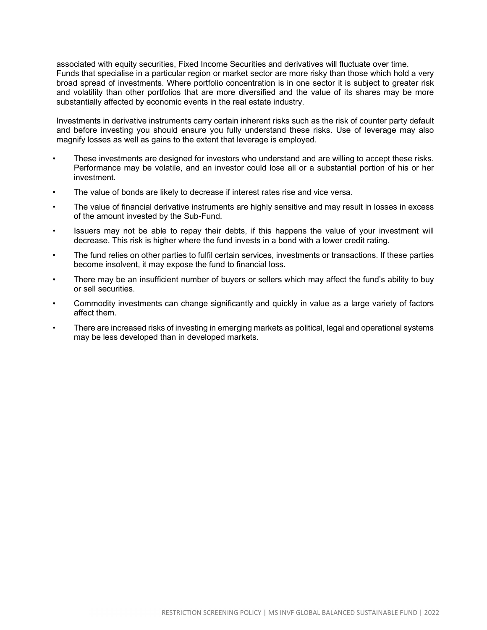associated with equity securities, Fixed Income Securities and derivatives will fluctuate over time. Funds that specialise in a particular region or market sector are more risky than those which hold a very broad spread of investments. Where portfolio concentration is in one sector it is subject to greater risk and volatility than other portfolios that are more diversified and the value of its shares may be more substantially affected by economic events in the real estate industry.

Investments in derivative instruments carry certain inherent risks such as the risk of counter party default and before investing you should ensure you fully understand these risks. Use of leverage may also magnify losses as well as gains to the extent that leverage is employed.

- These investments are designed for investors who understand and are willing to accept these risks. Performance may be volatile, and an investor could lose all or a substantial portion of his or her investment.
- The value of bonds are likely to decrease if interest rates rise and vice versa.
- The value of financial derivative instruments are highly sensitive and may result in losses in excess of the amount invested by the Sub-Fund.
- Issuers may not be able to repay their debts, if this happens the value of your investment will decrease. This risk is higher where the fund invests in a bond with a lower credit rating.
- The fund relies on other parties to fulfil certain services, investments or transactions. If these parties become insolvent, it may expose the fund to financial loss.
- There may be an insufficient number of buyers or sellers which may affect the fund's ability to buy or sell securities.
- Commodity investments can change significantly and quickly in value as a large variety of factors affect them.
- There are increased risks of investing in emerging markets as political, legal and operational systems may be less developed than in developed markets.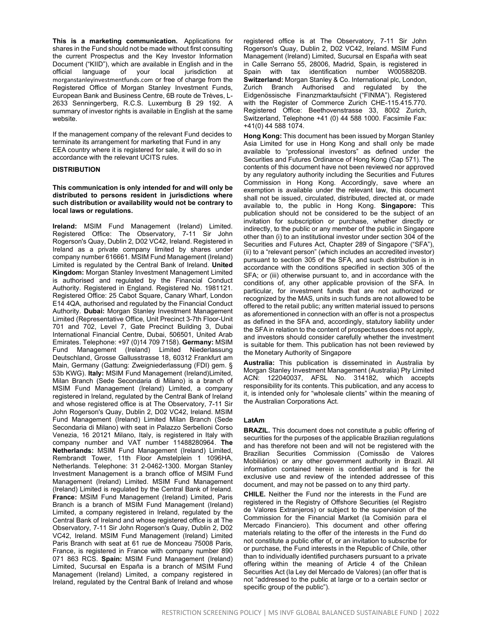This is a marketing communication. Applications for shares in the Fund should not be made without first consulting the current Prospectus and the Key Investor Information Document ("KIID"), which are available in English and in the official language of your local jurisdiction at morganstanleyinvestmentfunds.com or free of charge from the Registered Office of Morgan Stanley Investment Funds, European Bank and Business Centre, 6B route de Trèves, L-2633 Senningerberg, R.C.S. Luxemburg B 29 192. A summary of investor rights is available in English at the same website.

If the management company of the relevant Fund decides to terminate its arrangement for marketing that Fund in any EEA country where it is registered for sale, it will do so in accordance with the relevant UCITS rules.

#### **DISTRIBUTION**

This communication is only intended for and will only be distributed to persons resident in jurisdictions where such distribution or availability would not be contrary to local laws or regulations.

Ireland: MSIM Fund Management (Ireland) Limited. Registered Office: The Observatory, 7-11 Sir John Rogerson's Quay, Dublin 2, D02 VC42, Ireland. Registered in Ireland as a private company limited by shares under company number 616661. MSIM Fund Management (Ireland) Limited is regulated by the Central Bank of Ireland. United Kingdom: Morgan Stanley Investment Management Limited is authorised and regulated by the Financial Conduct Authority. Registered in England. Registered No. 1981121. Registered Office: 25 Cabot Square, Canary Wharf, London E14 4QA, authorised and regulated by the Financial Conduct Authority. Dubai: Morgan Stanley Investment Management Limited (Representative Office, Unit Precinct 3-7th Floor-Unit 701 and 702, Level 7, Gate Precinct Building 3, Dubai International Financial Centre, Dubai, 506501, United Arab Emirates. Telephone: +97 (0)14 709 7158). Germany: MSIM Fund Management (Ireland) Limited Niederlassung Deutschland, Grosse Gallusstrasse 18, 60312 Frankfurt am Main, Germany (Gattung: Zweigniederlassung (FDI) gem. § 53b KWG). Italy: MSIM Fund Management (Ireland)Limited, Milan Branch (Sede Secondaria di Milano) is a branch of MSIM Fund Management (Ireland) Limited, a company registered in Ireland, regulated by the Central Bank of Ireland and whose registered office is at The Observatory, 7-11 Sir John Rogerson's Quay, Dublin 2, D02 VC42, Ireland. MSIM Fund Management (Ireland) Limited Milan Branch (Sede Secondaria di Milano) with seat in Palazzo Serbelloni Corso Venezia, 16 20121 Milano, Italy, is registered in Italy with company number and VAT number 11488280964. The Netherlands: MSIM Fund Management (Ireland) Limited, Rembrandt Tower, 11th Floor Amstelplein 1 1096HA, Netherlands. Telephone: 31 2-0462-1300. Morgan Stanley Investment Management is a branch office of MSIM Fund Management (Ireland) Limited. MSIM Fund Management (Ireland) Limited is regulated by the Central Bank of Ireland. France: MSIM Fund Management (Ireland) Limited, Paris Branch is a branch of MSIM Fund Management (Ireland) Limited, a company registered in Ireland, regulated by the Central Bank of Ireland and whose registered office is at The Observatory, 7-11 Sir John Rogerson's Quay, Dublin 2, D02 VC42, Ireland. MSIM Fund Management (Ireland) Limited Paris Branch with seat at 61 rue de Monceau 75008 Paris, France, is registered in France with company number 890 071 863 RCS. Spain: MSIM Fund Management (Ireland) Limited, Sucursal en España is a branch of MSIM Fund Management (Ireland) Limited, a company registered in Ireland, regulated by the Central Bank of Ireland and whose registered office is at The Observatory, 7-11 Sir John Rogerson's Quay, Dublin 2, D02 VC42, Ireland. MSIM Fund Management (Ireland) Limited, Sucursal en España with seat in Calle Serrano 55, 28006, Madrid, Spain, is registered in Spain with tax identification number W0058820B. Switzerland: Morgan Stanley & Co. International plc, London, Zurich Branch Authorised and regulated by the Eidgenössische Finanzmarktaufsicht ("FINMA"). Registered with the Register of Commerce Zurich CHE-115.415.770. Registered Office: Beethovenstrasse 33, 8002 Zurich, Switzerland, Telephone +41 (0) 44 588 1000. Facsimile Fax: +41(0) 44 588 1074.

Hong Kong: This document has been issued by Morgan Stanley Asia Limited for use in Hong Kong and shall only be made available to "professional investors" as defined under the Securities and Futures Ordinance of Hong Kong (Cap 571). The contents of this document have not been reviewed nor approved by any regulatory authority including the Securities and Futures Commission in Hong Kong. Accordingly, save where an exemption is available under the relevant law, this document shall not be issued, circulated, distributed, directed at, or made available to, the public in Hong Kong. Singapore: This publication should not be considered to be the subject of an invitation for subscription or purchase, whether directly or indirectly, to the public or any member of the public in Singapore other than (i) to an institutional investor under section 304 of the Securities and Futures Act, Chapter 289 of Singapore ("SFA"), (ii) to a "relevant person" (which includes an accredited investor) pursuant to section 305 of the SFA, and such distribution is in accordance with the conditions specified in section 305 of the SFA; or (iii) otherwise pursuant to, and in accordance with the conditions of, any other applicable provision of the SFA. In particular, for investment funds that are not authorized or recognized by the MAS, units in such funds are not allowed to be offered to the retail public; any written material issued to persons as aforementioned in connection with an offer is not a prospectus as defined in the SFA and, accordingly, statutory liability under the SFA in relation to the content of prospectuses does not apply, and investors should consider carefully whether the investment is suitable for them. This publication has not been reviewed by the Monetary Authority of Singapore

Australia: This publication is disseminated in Australia by Morgan Stanley Investment Management (Australia) Pty Limited ACN: 122040037, AFSL No. 314182, which accepts responsibility for its contents. This publication, and any access to it, is intended only for "wholesale clients" within the meaning of the Australian Corporations Act.

#### LatAm

BRAZIL. This document does not constitute a public offering of securities for the purposes of the applicable Brazilian regulations and has therefore not been and will not be registered with the Brazilian Securities Commission (Comissão de Valores Mobiliários) or any other government authority in Brazil. All information contained herein is confidential and is for the exclusive use and review of the intended addressee of this document, and may not be passed on to any third party.

CHILE. Neither the Fund nor the interests in the Fund are registered in the Registry of Offshore Securities (el Registro de Valores Extranjeros) or subject to the supervision of the Commission for the Financial Market (la Comisión para el Mercado Financiero). This document and other offering materials relating to the offer of the interests in the Fund do not constitute a public offer of, or an invitation to subscribe for or purchase, the Fund interests in the Republic of Chile, other than to individually identified purchasers pursuant to a private offering within the meaning of Article 4 of the Chilean Securities Act (la Ley del Mercado de Valores) (an offer that is not "addressed to the public at large or to a certain sector or specific group of the public").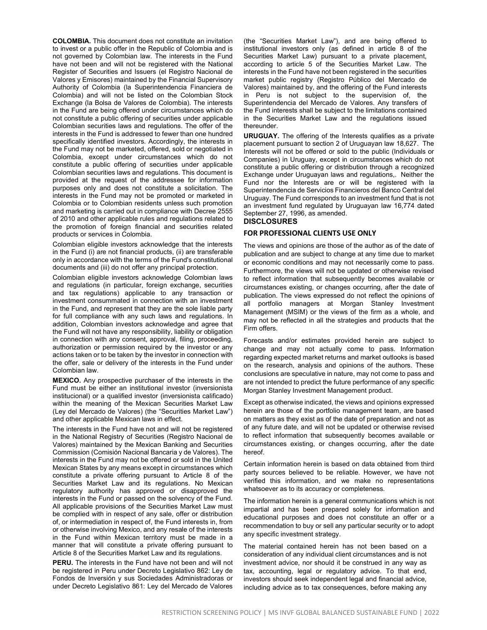COLOMBIA. This document does not constitute an invitation to invest or a public offer in the Republic of Colombia and is not governed by Colombian law. The interests in the Fund have not been and will not be registered with the National Register of Securities and Issuers (el Registro Nacional de Valores y Emisores) maintained by the Financial Supervisory Authority of Colombia (la Superintendencia Financiera de Colombia) and will not be listed on the Colombian Stock Exchange (la Bolsa de Valores de Colombia). The interests in the Fund are being offered under circumstances which do not constitute a public offering of securities under applicable Colombian securities laws and regulations. The offer of the interests in the Fund is addressed to fewer than one hundred specifically identified investors. Accordingly, the interests in the Fund may not be marketed, offered, sold or negotiated in Colombia, except under circumstances which do not constitute a public offering of securities under applicable Colombian securities laws and regulations. This document is provided at the request of the addressee for information purposes only and does not constitute a solicitation. The interests in the Fund may not be promoted or marketed in Colombia or to Colombian residents unless such promotion and marketing is carried out in compliance with Decree 2555 of 2010 and other applicable rules and regulations related to the promotion of foreign financial and securities related products or services in Colombia.

Colombian eligible investors acknowledge that the interests in the Fund (i) are not financial products, (ii) are transferable only in accordance with the terms of the Fund's constitutional documents and (iii) do not offer any principal protection.

Colombian eligible investors acknowledge Colombian laws and regulations (in particular, foreign exchange, securities and tax regulations) applicable to any transaction or investment consummated in connection with an investment in the Fund, and represent that they are the sole liable party for full compliance with any such laws and regulations. In addition, Colombian investors acknowledge and agree that the Fund will not have any responsibility, liability or obligation in connection with any consent, approval, filing, proceeding, authorization or permission required by the investor or any actions taken or to be taken by the investor in connection with the offer, sale or delivery of the interests in the Fund under Colombian law.

MEXICO. Any prospective purchaser of the interests in the Fund must be either an institutional investor (inversionista institucional) or a qualified investor (inversionista calificado) within the meaning of the Mexican Securities Market Law (Ley del Mercado de Valores) (the "Securities Market Law") and other applicable Mexican laws in effect.

The interests in the Fund have not and will not be registered in the National Registry of Securities (Registro Nacional de Valores) maintained by the Mexican Banking and Securities Commission (Comisión Nacional Bancaria y de Valores). The interests in the Fund may not be offered or sold in the United Mexican States by any means except in circumstances which constitute a private offering pursuant to Article 8 of the Securities Market Law and its regulations. No Mexican regulatory authority has approved or disapproved the interests in the Fund or passed on the solvency of the Fund. All applicable provisions of the Securities Market Law must be complied with in respect of any sale, offer or distribution of, or intermediation in respect of, the Fund interests in, from or otherwise involving Mexico, and any resale of the interests in the Fund within Mexican territory must be made in a manner that will constitute a private offering pursuant to Article 8 of the Securities Market Law and its regulations.

PERU. The interests in the Fund have not been and will not be registered in Peru under Decreto Legislativo 862: Ley de Fondos de Inversión y sus Sociedades Administradoras or under Decreto Legislativo 861: Ley del Mercado de Valores (the "Securities Market Law"), and are being offered to institutional investors only (as defined in article 8 of the Securities Market Law) pursuant to a private placement, according to article 5 of the Securities Market Law. The interests in the Fund have not been registered in the securities market public registry (Registro Público del Mercado de Valores) maintained by, and the offering of the Fund interests in Peru is not subject to the supervision of, the Superintendencia del Mercado de Valores. Any transfers of the Fund interests shall be subject to the limitations contained in the Securities Market Law and the regulations issued thereunder.

URUGUAY. The offering of the Interests qualifies as a private placement pursuant to section 2 of Uruguayan law 18,627. The Interests will not be offered or sold to the public (Individuals or Companies) in Uruguay, except in circumstances which do not constitute a public offering or distribution through a recognized Exchange under Uruguayan laws and regulations,. Neither the Fund nor the Interests are or will be registered with la Superintendencia de Servicios Financieros del Banco Central del Uruguay. The Fund corresponds to an investment fund that is not an investment fund regulated by Uruguayan law 16,774 dated September 27, 1996, as amended. **DISCLOSURES** 

#### FOR PROFESSIONAL CLIENTS USE ONLY

The views and opinions are those of the author as of the date of publication and are subject to change at any time due to market or economic conditions and may not necessarily come to pass. Furthermore, the views will not be updated or otherwise revised to reflect information that subsequently becomes available or circumstances existing, or changes occurring, after the date of publication. The views expressed do not reflect the opinions of all portfolio managers at Morgan Stanley Investment Management (MSIM) or the views of the firm as a whole, and may not be reflected in all the strategies and products that the Firm offers.

Forecasts and/or estimates provided herein are subject to change and may not actually come to pass. Information regarding expected market returns and market outlooks is based on the research, analysis and opinions of the authors. These conclusions are speculative in nature, may not come to pass and are not intended to predict the future performance of any specific Morgan Stanley Investment Management product.

Except as otherwise indicated, the views and opinions expressed herein are those of the portfolio management team, are based on matters as they exist as of the date of preparation and not as of any future date, and will not be updated or otherwise revised to reflect information that subsequently becomes available or circumstances existing, or changes occurring, after the date hereof.

Certain information herein is based on data obtained from third party sources believed to be reliable. However, we have not verified this information, and we make no representations whatsoever as to its accuracy or completeness.

The information herein is a general communications which is not impartial and has been prepared solely for information and educational purposes and does not constitute an offer or a recommendation to buy or sell any particular security or to adopt any specific investment strategy.

The material contained herein has not been based on a consideration of any individual client circumstances and is not investment advice, nor should it be construed in any way as tax, accounting, legal or regulatory advice. To that end, investors should seek independent legal and financial advice, including advice as to tax consequences, before making any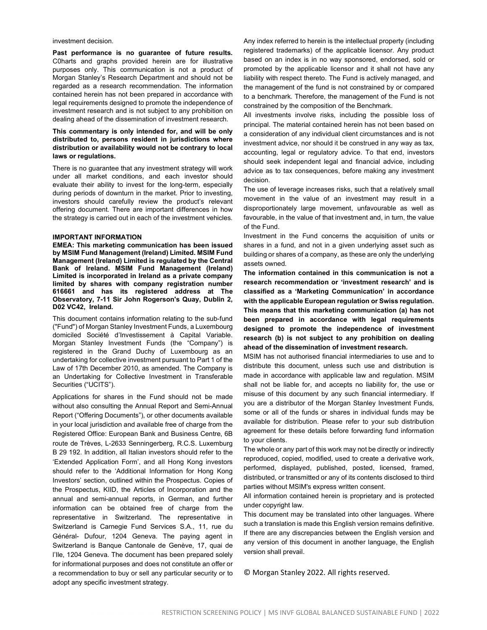investment decision.

Past performance is no guarantee of future results. C0harts and graphs provided herein are for illustrative purposes only. This communication is not a product of Morgan Stanley's Research Department and should not be regarded as a research recommendation. The information contained herein has not been prepared in accordance with legal requirements designed to promote the independence of investment research and is not subject to any prohibition on dealing ahead of the dissemination of investment research.

#### This commentary is only intended for, and will be only distributed to, persons resident in jurisdictions where distribution or availability would not be contrary to local laws or regulations.

There is no guarantee that any investment strategy will work under all market conditions, and each investor should evaluate their ability to invest for the long-term, especially during periods of downturn in the market. Prior to investing, investors should carefully review the product's relevant offering document. There are important differences in how the strategy is carried out in each of the investment vehicles.

#### IMPORTANT INFORMATION

EMEA: This marketing communication has been issued by MSIM Fund Management (Ireland) Limited. MSIM Fund Management (Ireland) Limited is regulated by the Central Bank of Ireland. MSIM Fund Management (Ireland) Limited is incorporated in Ireland as a private company limited by shares with company registration number 616661 and has its registered address at The Observatory, 7-11 Sir John Rogerson's Quay, Dublin 2, D02 VC42, Ireland.

This document contains information relating to the sub-fund ("Fund") of Morgan Stanley Investment Funds, a Luxembourg domiciled Société d'Investissement à Capital Variable. Morgan Stanley Investment Funds (the "Company") is registered in the Grand Duchy of Luxembourg as an undertaking for collective investment pursuant to Part 1 of the Law of 17th December 2010, as amended. The Company is an Undertaking for Collective Investment in Transferable Securities ("UCITS").

Applications for shares in the Fund should not be made without also consulting the Annual Report and Semi-Annual Report ("Offering Documents"), or other documents available in your local jurisdiction and available free of charge from the Registered Office: European Bank and Business Centre, 6B route de Trèves, L-2633 Senningerberg, R.C.S. Luxemburg B 29 192. In addition, all Italian investors should refer to the 'Extended Application Form', and all Hong Kong investors should refer to the 'Additional Information for Hong Kong Investors' section, outlined within the Prospectus. Copies of the Prospectus, KIID, the Articles of Incorporation and the annual and semi-annual reports, in German, and further information can be obtained free of charge from the representative in Switzerland. The representative in Switzerland is Carnegie Fund Services S.A., 11, rue du Général- Dufour, 1204 Geneva. The paying agent in Switzerland is Banque Cantonale de Genève, 17, quai de l'Ile, 1204 Geneva. The document has been prepared solely for informational purposes and does not constitute an offer or a recommendation to buy or sell any particular security or to adopt any specific investment strategy.

Any index referred to herein is the intellectual property (including registered trademarks) of the applicable licensor. Any product based on an index is in no way sponsored, endorsed, sold or promoted by the applicable licensor and it shall not have any liability with respect thereto. The Fund is actively managed, and the management of the fund is not constrained by or compared to a benchmark. Therefore, the management of the Fund is not constrained by the composition of the Benchmark.

All investments involve risks, including the possible loss of principal. The material contained herein has not been based on a consideration of any individual client circumstances and is not investment advice, nor should it be construed in any way as tax, accounting, legal or regulatory advice. To that end, investors should seek independent legal and financial advice, including advice as to tax consequences, before making any investment decision.

The use of leverage increases risks, such that a relatively small movement in the value of an investment may result in a disproportionately large movement, unfavourable as well as favourable, in the value of that investment and, in turn, the value of the Fund.

Investment in the Fund concerns the acquisition of units or shares in a fund, and not in a given underlying asset such as building or shares of a company, as these are only the underlying assets owned.

The information contained in this communication is not a research recommendation or 'investment research' and is classified as a 'Marketing Communication' in accordance with the applicable European regulation or Swiss regulation. This means that this marketing communication (a) has not been prepared in accordance with legal requirements designed to promote the independence of investment research (b) is not subject to any prohibition on dealing ahead of the dissemination of investment research.

MSIM has not authorised financial intermediaries to use and to distribute this document, unless such use and distribution is made in accordance with applicable law and regulation. MSIM shall not be liable for, and accepts no liability for, the use or misuse of this document by any such financial intermediary. If you are a distributor of the Morgan Stanley Investment Funds, some or all of the funds or shares in individual funds may be available for distribution. Please refer to your sub distribution agreement for these details before forwarding fund information to your clients.

The whole or any part of this work may not be directly or indirectly reproduced, copied, modified, used to create a derivative work, performed, displayed, published, posted, licensed, framed, distributed, or transmitted or any of its contents disclosed to third parties without MSIM's express written consent.

All information contained herein is proprietary and is protected under copyright law.

This document may be translated into other languages. Where such a translation is made this English version remains definitive. If there are any discrepancies between the English version and any version of this document in another language, the English version shall prevail.

© Morgan Stanley 2022. All rights reserved.